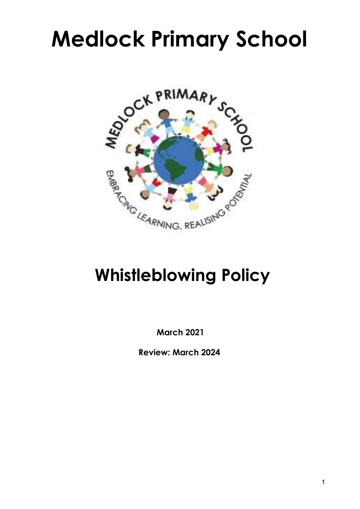# **Medlock Primary School**



## **Whistleblowing Policy**

**March 2021**

**Review: March 2024**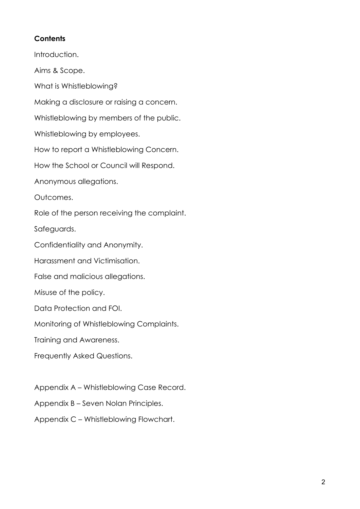#### **Contents**

Introduction. Aims & Scope. What is Whistleblowing? Making a disclosure or raising a concern. Whistleblowing by members of the public. Whistleblowing by employees. How to report a Whistleblowing Concern. How the School or Council will Respond. Anonymous allegations. Outcomes. Role of the person receiving the complaint. Safeguards. Confidentiality and Anonymity. Harassment and Victimisation. False and malicious allegations. Misuse of the policy. Data Protection and FOI. Monitoring of Whistleblowing Complaints. Training and Awareness. Frequently Asked Questions.

Appendix A – Whistleblowing Case Record.

Appendix B – Seven Nolan Principles.

Appendix C – Whistleblowing Flowchart.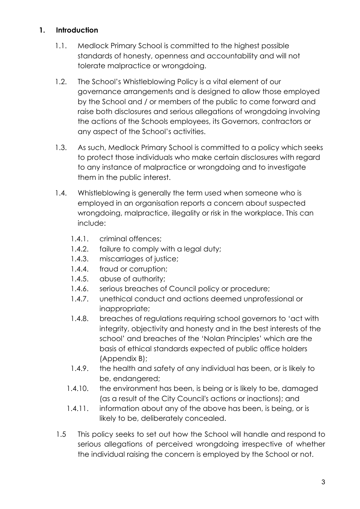#### **1. Introduction**

- 1.1. Medlock Primary School is committed to the highest possible standards of honesty, openness and accountability and will not tolerate malpractice or wrongdoing.
- 1.2. The School's Whistleblowing Policy is a vital element of our governance arrangements and is designed to allow those employed by the School and / or members of the public to come forward and raise both disclosures and serious allegations of wrongdoing involving the actions of the Schools employees, its Governors, contractors or any aspect of the School's activities.
- 1.3. As such, Medlock Primary School is committed to a policy which seeks to protect those individuals who make certain disclosures with regard to any instance of malpractice or wrongdoing and to investigate them in the public interest.
- 1.4. Whistleblowing is generally the term used when someone who is employed in an organisation reports a concern about suspected wrongdoing, malpractice, illegality or risk in the workplace. This can include:
	- 1.4.1. criminal offences;
	- 1.4.2. failure to comply with a legal duty;
	- 1.4.3. miscarriages of justice;
	- 1.4.4. fraud or corruption;
	- 1.4.5. abuse of authority;
	- 1.4.6. serious breaches of Council policy or procedure;
	- 1.4.7. unethical conduct and actions deemed unprofessional or inappropriate;
	- 1.4.8. breaches of regulations requiring school governors to 'act with integrity, objectivity and honesty and in the best interests of the school' and breaches of the 'Nolan Principles' which are the basis of ethical standards expected of public office holders (Appendix B);
	- 1.4.9. the health and safety of any individual has been, or is likely to be, endangered;
	- 1.4.10. the environment has been, is being or is likely to be, damaged (as a result of the City Council's actions or inactions); and
	- 1.4.11. information about any of the above has been, is being, or is likely to be, deliberately concealed.
- 1.5 This policy seeks to set out how the School will handle and respond to serious allegations of perceived wrongdoing irrespective of whether the individual raising the concern is employed by the School or not.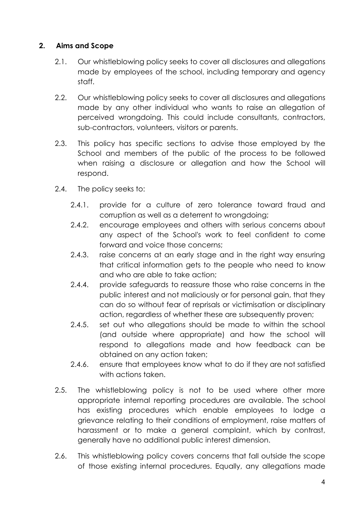#### **2. Aims and Scope**

- 2.1. Our whistleblowing policy seeks to cover all disclosures and allegations made by employees of the school, including temporary and agency staff.
- 2.2. Our whistleblowing policy seeks to cover all disclosures and allegations made by any other individual who wants to raise an allegation of perceived wrongdoing. This could include consultants, contractors, sub-contractors, volunteers, visitors or parents.
- 2.3. This policy has specific sections to advise those employed by the School and members of the public of the process to be followed when raising a disclosure or allegation and how the School will respond.
- 2.4. The policy seeks to:
	- 2.4.1. provide for a culture of zero tolerance toward fraud and corruption as well as a deterrent to wrongdoing;
	- 2.4.2. encourage employees and others with serious concerns about any aspect of the School's work to feel confident to come forward and voice those concerns;
	- 2.4.3. raise concerns at an early stage and in the right way ensuring that critical information gets to the people who need to know and who are able to take action;
	- 2.4.4. provide safeguards to reassure those who raise concerns in the public interest and not maliciously or for personal gain, that they can do so without fear of reprisals or victimisation or disciplinary action, regardless of whether these are subsequently proven;
	- 2.4.5. set out who allegations should be made to within the school (and outside where appropriate) and how the school will respond to allegations made and how feedback can be obtained on any action taken;
	- 2.4.6. ensure that employees know what to do if they are not satisfied with actions taken.
- 2.5. The whistleblowing policy is not to be used where other more appropriate internal reporting procedures are available. The school has existing procedures which enable employees to lodge a grievance relating to their conditions of employment, raise matters of harassment or to make a general complaint, which by contrast, generally have no additional public interest dimension.
- 2.6. This whistleblowing policy covers concerns that fall outside the scope of those existing internal procedures. Equally, any allegations made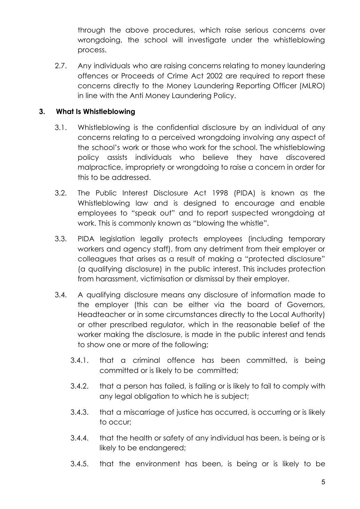through the above procedures, which raise serious concerns over wrongdoing, the school will investigate under the whistleblowing process.

2.7. Any individuals who are raising concerns relating to money laundering offences or Proceeds of Crime Act 2002 are required to report these concerns directly to the Money Laundering Reporting Officer (MLRO) in line with the Anti Money Laundering Policy.

#### **3. What Is Whistleblowing**

- 3.1. Whistleblowing is the confidential disclosure by an individual of any concerns relating to a perceived wrongdoing involving any aspect of the school's work or those who work for the school. The whistleblowing policy assists individuals who believe they have discovered malpractice, impropriety or wrongdoing to raise a concern in order for this to be addressed.
- 3.2. The Public Interest Disclosure Act 1998 (PIDA) is known as the Whistleblowing law and is designed to encourage and enable employees to "speak out" and to report suspected wrongdoing at work. This is commonly known as "blowing the whistle".
- 3.3. PIDA legislation legally protects employees (including temporary workers and agency staff), from any detriment from their employer or colleagues that arises as a result of making a "protected disclosure" (a qualifying disclosure) in the public interest. This includes protection from harassment, victimisation or dismissal by their employer.
- 3.4. A qualifying disclosure means any disclosure of information made to the employer (this can be either via the board of Governors, Headteacher or in some circumstances directly to the Local Authority) or other prescribed regulator, which in the reasonable belief of the worker making the disclosure, is made in the public interest and tends to show one or more of the following;
	- 3.4.1. that a criminal offence has been committed, is being committed or is likely to be committed;
	- 3.4.2. that a person has failed, is failing or is likely to fail to comply with any legal obligation to which he is subject;
	- 3.4.3. that a miscarriage of justice has occurred, is occurring or is likely to occur;
	- 3.4.4. that the health or safety of any individual has been, is being or is likely to be endangered;
	- 3.4.5. that the environment has been, is being or is likely to be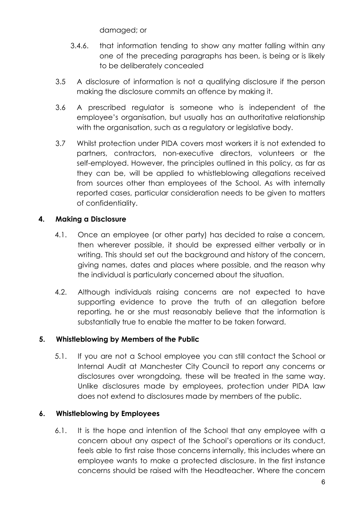damaged; or

- 3.4.6. that information tending to show any matter falling within any one of the preceding paragraphs has been, is being or is likely to be deliberately concealed
- 3.5 A disclosure of information is not a qualifying disclosure if the person making the disclosure commits an offence by making it.
- 3.6 A prescribed regulator is someone who is independent of the employee's organisation, but usually has an authoritative relationship with the organisation, such as a regulatory or legislative body.
- 3.7 Whilst protection under PIDA covers most workers it is not extended to partners, contractors, non-executive directors, volunteers or the self-employed. However, the principles outlined in this policy, as far as they can be, will be applied to whistleblowing allegations received from sources other than employees of the School. As with internally reported cases, particular consideration needs to be given to matters of confidentiality.

#### **4. Making a Disclosure**

- 4.1. Once an employee (or other party) has decided to raise a concern, then wherever possible, it should be expressed either verbally or in writing. This should set out the background and history of the concern, giving names, dates and places where possible, and the reason why the individual is particularly concerned about the situation.
- 4.2. Although individuals raising concerns are not expected to have supporting evidence to prove the truth of an allegation before reporting, he or she must reasonably believe that the information is substantially true to enable the matter to be taken forward.

#### **5. Whistleblowing by Members of the Public**

5.1. If you are not a School employee you can still contact the School or Internal Audit at Manchester City Council to report any concerns or disclosures over wrongdoing, these will be treated in the same way. Unlike disclosures made by employees, protection under PIDA law does not extend to disclosures made by members of the public.

#### **6. Whistleblowing by Employees**

6.1. It is the hope and intention of the School that any employee with a concern about any aspect of the School's operations or its conduct, feels able to first raise those concerns internally, this includes where an employee wants to make a protected disclosure. In the first instance concerns should be raised with the Headteacher. Where the concern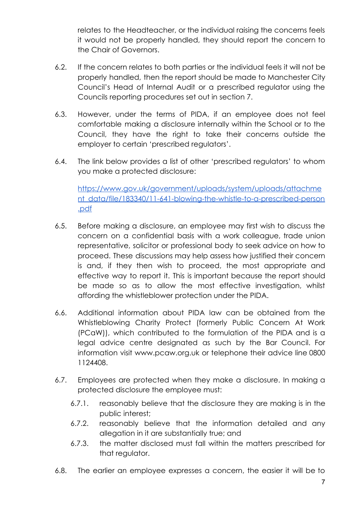relates to the Headteacher, or the individual raising the concerns feels it would not be properly handled, they should report the concern to the Chair of Governors.

- 6.2. If the concern relates to both parties or the individual feels it will not be properly handled, then the report should be made to Manchester City Council's Head of Internal Audit or a prescribed regulator using the Councils reporting procedures set out in section 7.
- 6.3. However, under the terms of PIDA, if an employee does not feel comfortable making a disclosure internally within the School or to the Council, they have the right to take their concerns outside the employer to certain 'prescribed regulators'.
- 6.4. The link below provides a list of other 'prescribed regulators' to whom you make a protected disclosure:

[https://www.gov.uk/government/uploads/system/uploads/attachme](https://www.gov.uk/government/uploads/system/uploads/attachment_data/file/183340/11-641-blowing-the-whistle-to-a-prescribed-person.pdf) [nt\\_data/file/183340/11-641-blowing-the-whistle-to-a-prescribed-person](https://www.gov.uk/government/uploads/system/uploads/attachment_data/file/183340/11-641-blowing-the-whistle-to-a-prescribed-person.pdf) [.pdf](https://www.gov.uk/government/uploads/system/uploads/attachment_data/file/183340/11-641-blowing-the-whistle-to-a-prescribed-person.pdf)

- 6.5. Before making a disclosure, an employee may first wish to discuss the concern on a confidential basis with a work colleague, trade union representative, solicitor or professional body to seek advice on how to proceed. These discussions may help assess how justified their concern is and, if they then wish to proceed, the most appropriate and effective way to report it. This is important because the report should be made so as to allow the most effective investigation, whilst affording the whistleblower protection under the PIDA.
- 6.6. Additional information about PIDA law can be obtained from the Whistleblowing Charity Protect (formerly Public [Concern](http://www.pcaw.org.uk/) At Work [\(PCaW\)\),](http://www.pcaw.org.uk/) which contributed to the formulation of the PIDA and is a legal advice centre designated as such by the Bar Council. For information visit www.pcaw.org.uk or telephone their advice line 0800 1124408.
- 6.7. Employees are protected when they make a disclosure. In making a protected disclosure the employee must:
	- 6.7.1. reasonably believe that the disclosure they are making is in the public interest;
	- 6.7.2. reasonably believe that the information detailed and any allegation in it are substantially true; and
	- 6.7.3. the matter disclosed must fall within the matters prescribed for that regulator.
- 6.8. The earlier an employee expresses a concern, the easier it will be to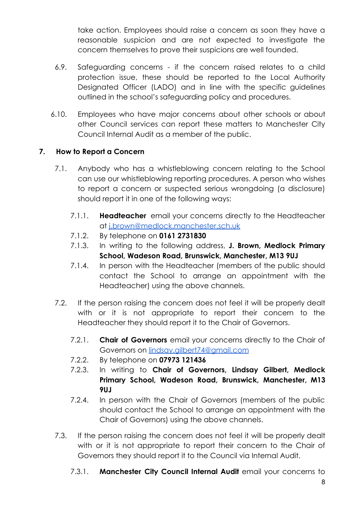take action. Employees should raise a concern as soon they have a reasonable suspicion and are not expected to investigate the concern themselves to prove their suspicions are well founded.

- 6.9. Safeguarding concerns if the concern raised relates to a child protection issue, these should be reported to the Local Authority Designated Officer (LADO) and in line with the specific guidelines outlined in the school's safeguarding policy and procedures.
- 6.10. Employees who have major concerns about other schools or about other Council services can report these matters to Manchester City Council Internal Audit as a member of the public.

#### **7. How to Report a Concern**

- 7.1. Anybody who has a whistleblowing concern relating to the School can use our whistleblowing reporting procedures. A person who wishes to report a concern or suspected serious wrongdoing (a disclosure) should report it in one of the following ways:
	- 7.1.1. **Headteacher** email your concerns directly to the Headteacher at [j.brown@medlock.manchester.sch.uk](mailto:j.brown@medlock.manchester.sch.uk)
	- 7.1.2. By telephone on **0161 2731830**
	- 7.1.3. In writing to the following address, **J. Brown, Medlock Primary School, Wadeson Road, Brunswick, Manchester, M13 9UJ**
	- 7.1.4. In person with the Headteacher (members of the public should contact the School to arrange an appointment with the Headteacher) using the above channels.
- 7.2. If the person raising the concern does not feel it will be properly dealt with or it is not appropriate to report their concern to the Headteacher they should report it to the Chair of Governors.
	- 7.2.1. **Chair of Governors** email your concerns directly to the Chair of Governors on [lindsay.gilbert74@gmail.com](mailto:lindsay.gilbert74@gmail.com)
	- 7.2.2. By telephone on **07973 121436**
	- 7.2.3. In writing to **Chair of Governors, Lindsay Gilbert, Medlock Primary School, Wadeson Road, Brunswick, Manchester, M13 9UJ**
	- 7.2.4. In person with the Chair of Governors (members of the public should contact the School to arrange an appointment with the Chair of Governors) using the above channels.
- 7.3. If the person raising the concern does not feel it will be properly dealt with or it is not appropriate to report their concern to the Chair of Governors they should report it to the Council via Internal Audit.
	- 7.3.1. **Manchester City Council Internal Audit** email your concerns to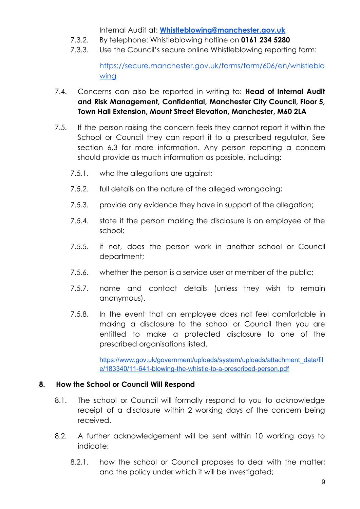Internal Audit at: **[Whistleblowing@manchester.gov.uk](mailto:Whistleblowing@manchester.gov.uk)**

- 7.3.2. By telephone: Whistleblowing hotline on **0161 234 5280**
- 7.3.3. Use the Council's secure online Whistleblowing reporting form:

[https://secure.manchester.gov.uk/forms/form/606/en/whistleblo](https://secure.manchester.gov.uk/forms/form/606/en/whistleblowing) [wing](https://secure.manchester.gov.uk/forms/form/606/en/whistleblowing)

- 7.4. Concerns can also be reported in writing to: **Head of Internal Audit and Risk Management, Confidential, Manchester City Council, Floor 5, Town Hall Extension, Mount Street Elevation, Manchester, M60 2LA**
- 7.5. If the person raising the concern feels they cannot report it within the School or Council they can report it to a prescribed regulator, See section 6.3 for more information. Any person reporting a concern should provide as much information as possible, including:
	- 7.5.1. who the allegations are against;
	- 7.5.2. full details on the nature of the alleged wrongdoing;
	- 7.5.3. provide any evidence they have in support of the allegation;
	- 7.5.4. state if the person making the disclosure is an employee of the school;
	- 7.5.5. if not, does the person work in another school or Council department;
	- 7.5.6. whether the person is a service user or member of the public;
	- 7.5.7. name and contact details (unless they wish to remain anonymous).
	- 7.5.8. In the event that an employee does not feel comfortable in making a disclosure to the school or Council then you are entitled to make a protected disclosure to one of the prescribed organisations listed.

[https://www.gov.uk/government/uploads/system/uploads/attachment\\_data/fil](https://www.gov.uk/government/uploads/system/uploads/attachment_data/file/183340/11-641-blowing-the-whistle-to-a-prescribed-person.pdf) [e/183340/11-641-blowing-the-whistle-to-a-prescribed-person.pdf](https://www.gov.uk/government/uploads/system/uploads/attachment_data/file/183340/11-641-blowing-the-whistle-to-a-prescribed-person.pdf)

#### **8. How the School or Council Will Respond**

- 8.1. The school or Council will formally respond to you to acknowledge receipt of a disclosure within 2 working days of the concern being received.
- 8.2. A further acknowledgement will be sent within 10 working days to indicate:
	- 8.2.1. how the school or Council proposes to deal with the matter; and the policy under which it will be investigated;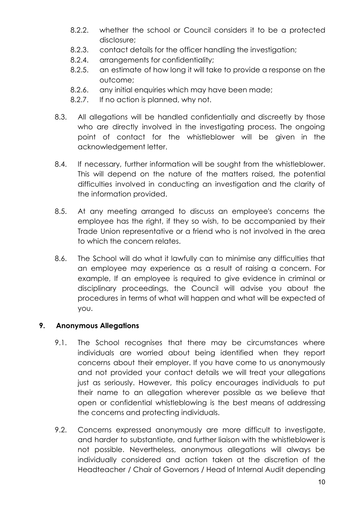- 8.2.2. whether the school or Council considers it to be a protected disclosure;
- 8.2.3. contact details for the officer handling the investigation;
- 8.2.4. arrangements for confidentiality;
- 8.2.5. an estimate of how long it will take to provide a response on the outcome;
- 8.2.6. any initial enquiries which may have been made;
- 8.2.7. If no action is planned, why not.
- 8.3. All allegations will be handled confidentially and discreetly by those who are directly involved in the investigating process. The ongoing point of contact for the whistleblower will be given in the acknowledgement letter.
- 8.4. If necessary, further information will be sought from the whistleblower. This will depend on the nature of the matters raised, the potential difficulties involved in conducting an investigation and the clarity of the information provided.
- 8.5. At any meeting arranged to discuss an employee's concerns the employee has the right, if they so wish, to be accompanied by their Trade Union representative or a friend who is not involved in the area to which the concern relates.
- 8.6. The School will do what it lawfully can to minimise any difficulties that an employee may experience as a result of raising a concern. For example, If an employee is required to give evidence in criminal or disciplinary proceedings, the Council will advise you about the procedures in terms of what will happen and what will be expected of you.

#### **9. Anonymous Allegations**

- 9.1. The School recognises that there may be circumstances where individuals are worried about being identified when they report concerns about their employer. If you have come to us anonymously and not provided your contact details we will treat your allegations just as seriously. However, this policy encourages individuals to put their name to an allegation wherever possible as we believe that open or confidential whistleblowing is the best means of addressing the concerns and protecting individuals.
- 9.2. Concerns expressed anonymously are more difficult to investigate, and harder to substantiate, and further liaison with the whistleblower is not possible. Nevertheless, anonymous allegations will always be individually considered and action taken at the discretion of the Headteacher / Chair of Governors / Head of Internal Audit depending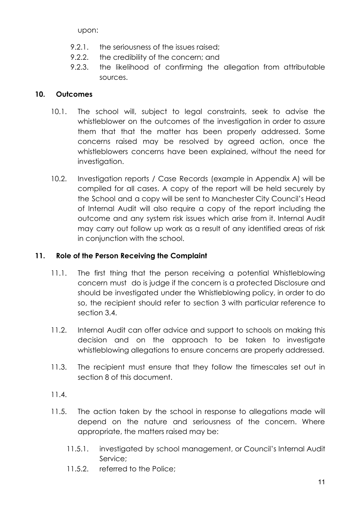upon:

- 9.2.1. the seriousness of the issues raised;
- 9.2.2. the credibility of the concern; and
- 9.2.3. the likelihood of confirming the allegation from attributable sources.

#### **10. Outcomes**

- 10.1. The school will, subject to legal constraints, seek to advise the whistleblower on the outcomes of the investigation in order to assure them that that the matter has been properly addressed. Some concerns raised may be resolved by agreed action, once the whistleblowers concerns have been explained, without the need for investigation.
- 10.2. Investigation reports / Case Records (example in Appendix A) will be compiled for all cases. A copy of the report will be held securely by the School and a copy will be sent to Manchester City Council's Head of Internal Audit will also require a copy of the report including the outcome and any system risk issues which arise from it. Internal Audit may carry out follow up work as a result of any identified areas of risk in conjunction with the school.

#### **11. Role of the Person Receiving the Complaint**

- 11.1. The first thing that the person receiving a potential Whistleblowing concern must do is judge if the concern is a protected Disclosure and should be investigated under the Whistleblowing policy, in order to do so, the recipient should refer to section 3 with particular reference to section 3.4.
- 11.2. Internal Audit can offer advice and support to schools on making this decision and on the approach to be taken to investigate whistleblowing allegations to ensure concerns are properly addressed.
- 11.3. The recipient must ensure that they follow the timescales set out in section 8 of this document.

#### 11.4.

- 11.5. The action taken by the school in response to allegations made will depend on the nature and seriousness of the concern. Where appropriate, the matters raised may be:
	- 11.5.1. investigated by school management, or Council's Internal Audit Service;
	- 11.5.2. referred to the Police;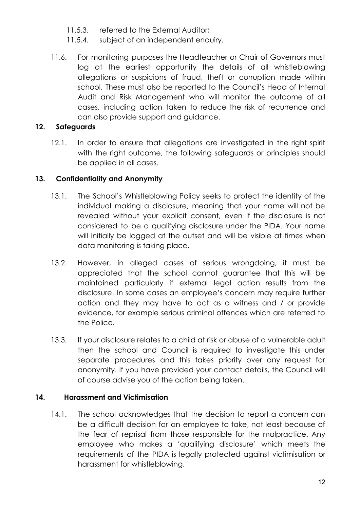- 11.5.3. referred to the External Auditor;
- 11.5.4. subject of an independent enquiry.
- 11.6. For monitoring purposes the Headteacher or Chair of Governors must log at the earliest opportunity the details of all whistleblowing allegations or suspicions of fraud, theft or corruption made within school. These must also be reported to the Council's Head of Internal Audit and Risk Management who will monitor the outcome of all cases, including action taken to reduce the risk of recurrence and can also provide support and guidance.

#### **12. Safeguards**

12.1. In order to ensure that allegations are investigated in the right spirit with the right outcome, the following safeguards or principles should be applied in all cases.

#### **13. Confidentiality and Anonymity**

- 13.1. The School's Whistleblowing Policy seeks to protect the identity of the individual making a disclosure, meaning that your name will not be revealed without your explicit consent, even if the disclosure is not considered to be a qualifying disclosure under the PIDA. Your name will initially be logged at the outset and will be visible at times when data monitoring is taking place.
- 13.2. However, in alleged cases of serious wrongdoing, it must be appreciated that the school cannot guarantee that this will be maintained particularly if external legal action results from the disclosure. In some cases an employee's concern may require further action and they may have to act as a witness and / or provide evidence, for example serious criminal offences which are referred to the Police.
- 13.3. If your disclosure relates to a child at risk or abuse of a vulnerable adult then the school and Council is required to investigate this under separate procedures and this takes priority over any request for anonymity. If you have provided your contact details, the Council will of course advise you of the action being taken.

#### **14. Harassment and Victimisation**

14.1. The school acknowledges that the decision to report a concern can be a difficult decision for an employee to take, not least because of the fear of reprisal from those responsible for the malpractice. Any employee who makes a 'qualifying disclosure' which meets the requirements of the PIDA is legally protected against victimisation or harassment for whistleblowing.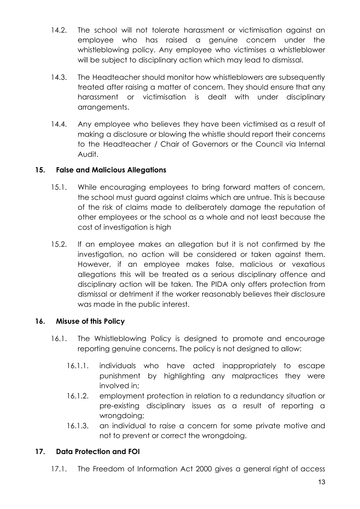- 14.2. The school will not tolerate harassment or victimisation against an employee who has raised a genuine concern under the whistleblowing policy. Any employee who victimises a whistleblower will be subject to disciplinary action which may lead to dismissal.
- 14.3. The Headteacher should monitor how whistleblowers are subsequently treated after raising a matter of concern. They should ensure that any harassment or victimisation is dealt with under disciplinary arrangements.
- 14.4. Any employee who believes they have been victimised as a result of making a disclosure or blowing the whistle should report their concerns to the Headteacher / Chair of Governors or the Council via Internal Audit.

#### **15. False and Malicious Allegations**

- 15.1. While encouraging employees to bring forward matters of concern, the school must guard against claims which are untrue. This is because of the risk of claims made to deliberately damage the reputation of other employees or the school as a whole and not least because the cost of investigation is high
- 15.2. If an employee makes an allegation but it is not confirmed by the investigation, no action will be considered or taken against them. However, if an employee makes false, malicious or vexatious allegations this will be treated as a serious disciplinary offence and disciplinary action will be taken. The PIDA only offers protection from dismissal or detriment if the worker reasonably believes their disclosure was made in the public interest.

#### **16. Misuse of this Policy**

- 16.1. The Whistleblowing Policy is designed to promote and encourage reporting genuine concerns. The policy is not designed to allow:
	- 16.1.1. individuals who have acted inappropriately to escape punishment by highlighting any malpractices they were involved in;
	- 16.1.2. employment protection in relation to a redundancy situation or pre-existing disciplinary issues as a result of reporting a wrongdoing;
	- 16.1.3. an individual to raise a concern for some private motive and not to prevent or correct the wrongdoing.

#### **17. Data Protection and FOI**

17.1. The Freedom of Information Act 2000 gives a general right of access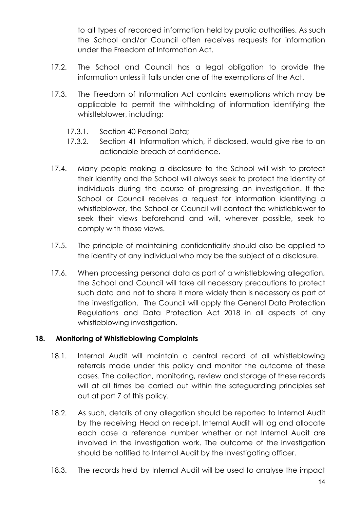to all types of recorded information held by public authorities. As such the School and/or Council often receives requests for information under the Freedom of Information Act.

- 17.2. The School and Council has a legal obligation to provide the information unless it falls under one of the exemptions of the Act.
- 17.3. The Freedom of Information Act contains exemptions which may be applicable to permit the withholding of information identifying the whistleblower, including:
	- 17.3.1. Section 40 Personal Data;
	- 17.3.2. Section 41 Information which, if disclosed, would give rise to an actionable breach of confidence.
- 17.4. Many people making a disclosure to the School will wish to protect their identity and the School will always seek to protect the identity of individuals during the course of progressing an investigation. If the School or Council receives a request for information identifying a whistleblower, the School or Council will contact the whistleblower to seek their views beforehand and will, wherever possible, seek to comply with those views.
- 17.5. The principle of maintaining confidentiality should also be applied to the identity of any individual who may be the subject of a disclosure.
- 17.6. When processing personal data as part of a whistleblowing allegation, the School and Council will take all necessary precautions to protect such data and not to share it more widely than is necessary as part of the investigation. The Council will apply the General Data Protection Regulations and Data Protection Act 2018 in all aspects of any whistleblowing investigation.

#### **18. Monitoring of Whistleblowing Complaints**

- 18.1. Internal Audit will maintain a central record of all whistleblowing referrals made under this policy and monitor the outcome of these cases. The collection, monitoring, review and storage of these records will at all times be carried out within the safeguarding principles set out at part 7 of this policy.
- 18.2. As such, details of any allegation should be reported to Internal Audit by the receiving Head on receipt. Internal Audit will log and allocate each case a reference number whether or not Internal Audit are involved in the investigation work. The outcome of the investigation should be notified to Internal Audit by the Investigating officer.
- 18.3. The records held by Internal Audit will be used to analyse the impact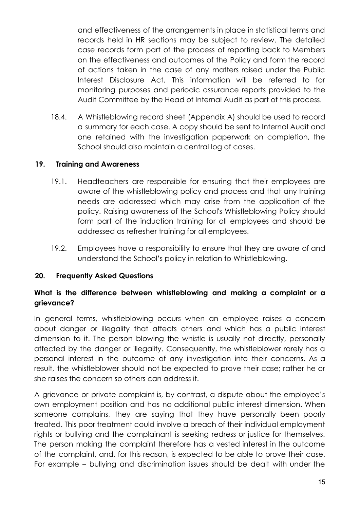and effectiveness of the arrangements in place in statistical terms and records held in HR sections may be subject to review. The detailed case records form part of the process of reporting back to Members on the effectiveness and outcomes of the Policy and form the record of actions taken in the case of any matters raised under the Public Interest Disclosure Act. This information will be referred to for monitoring purposes and periodic assurance reports provided to the Audit Committee by the Head of Internal Audit as part of this process.

18.4. A Whistleblowing record sheet (Appendix A) should be used to record a summary for each case. A copy should be sent to Internal Audit and one retained with the investigation paperwork on completion, the School should also maintain a central log of cases.

#### **19. Training and Awareness**

- 19.1. Headteachers are responsible for ensuring that their employees are aware of the whistleblowing policy and process and that any training needs are addressed which may arise from the application of the policy. Raising awareness of the School's Whistleblowing Policy should form part of the induction training for all employees and should be addressed as refresher training for all employees.
- 19.2. Employees have a responsibility to ensure that they are aware of and understand the School's policy in relation to Whistleblowing.

#### **20. Frequently Asked Questions**

#### **What is the difference between whistleblowing and making a complaint or a grievance?**

In general terms, whistleblowing occurs when an employee raises a concern about danger or illegality that affects others and which has a public interest dimension to it. The person blowing the whistle is usually not directly, personally affected by the danger or illegality. Consequently, the whistleblower rarely has a personal interest in the outcome of any investigation into their concerns. As a result, the whistleblower should not be expected to prove their case; rather he or she raises the concern so others can address it.

A grievance or private complaint is, by contrast, a dispute about the employee's own employment position and has no additional public interest dimension. When someone complains, they are saying that they have personally been poorly treated. This poor treatment could involve a breach of their individual employment rights or bullying and the complainant is seeking redress or justice for themselves. The person making the complaint therefore has a vested interest in the outcome of the complaint, and, for this reason, is expected to be able to prove their case. For example – bullying and discrimination issues should be dealt with under the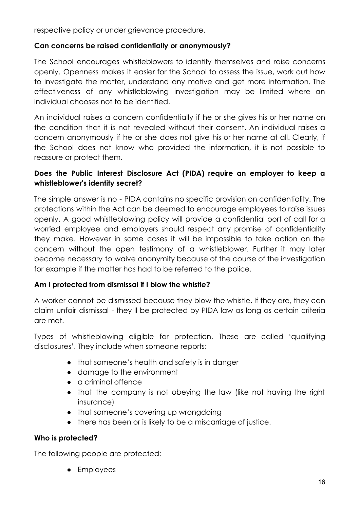respective policy or under grievance procedure.

#### **Can concerns be raised confidentially or anonymously?**

The School encourages whistleblowers to identify themselves and raise concerns openly. Openness makes it easier for the School to assess the issue, work out how to investigate the matter, understand any motive and get more information. The effectiveness of any whistleblowing investigation may be limited where an individual chooses not to be identified.

An individual raises a concern confidentially if he or she gives his or her name on the condition that it is not revealed without their consent. An individual raises a concern anonymously if he or she does not give his or her name at all. Clearly, if the School does not know who provided the information, it is not possible to reassure or protect them.

#### **Does the Public Interest Disclosure Act (PIDA) require an employer to keep a whistleblower's identity secret?**

The simple answer is no - PIDA contains no specific provision on confidentiality. The protections within the Act can be deemed to encourage employees to raise issues openly. A good whistleblowing policy will provide a confidential port of call for a worried employee and employers should respect any promise of confidentiality they make. However in some cases it will be impossible to take action on the concern without the open testimony of a whistleblower. Further it may later become necessary to waive anonymity because of the course of the investigation for example if the matter has had to be referred to the police.

#### **Am I protected from dismissal if I blow the whistle?**

A worker cannot be dismissed because they blow the whistle. If they are, they can claim unfair dismissal - they'll be protected by PIDA law as long as certain criteria are met.

Types of whistleblowing eligible for protection. These are called 'qualifying disclosures'. They include when someone reports:

- that someone's health and safety is in danger
- damage to the environment
- a criminal offence
- that the company is not obeying the law (like not having the right insurance)
- that someone's covering up wrongdoing
- there has been or is likely to be a miscarriage of justice.

#### **Who is protected?**

The following people are protected:

● Employees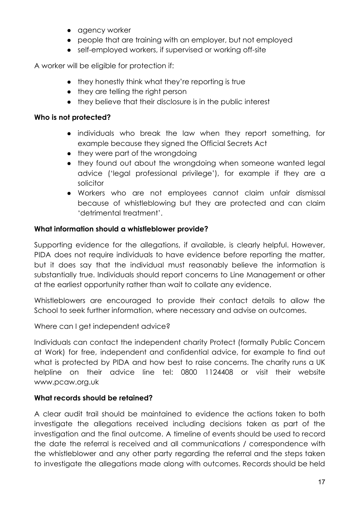- agency worker
- people that are training with an employer, but not employed
- self-employed workers, if supervised or working off-site

A worker will be eligible for protection if:

- they honestly think what they're reporting is true
- they are telling the right person
- they believe that their disclosure is in the public interest

#### **Who is not protected?**

- individuals who break the law when they report something, for example because they signed the Official Secrets Act
- they were part of the wrongdoing
- they found out about the wrongdoing when someone wanted legal advice ('legal professional privilege'), for example if they are a solicitor
- Workers who are not employees cannot claim unfair dismissal because of whistleblowing but they are protected and can claim 'detrimental treatment'.

#### **What information should a whistleblower provide?**

Supporting evidence for the allegations, if available, is clearly helpful. However, PIDA does not require individuals to have evidence before reporting the matter, but it does say that the individual must reasonably believe the information is substantially true. Individuals should report concerns to Line Management or other at the earliest opportunity rather than wait to collate any evidence.

Whistleblowers are encouraged to provide their contact details to allow the School to seek further information, where necessary and advise on outcomes.

Where can I get independent advice?

Individuals can contact the independent charity Protect (formally Public Concern at Work) for free, independent and confidential advice, for example to find out what is protected by PIDA and how best to raise concerns. The charity runs a UK helpline on their advice line tel: 0800 1124408 or visit their website www.pcaw.org.uk

#### **What records should be retained?**

A clear audit trail should be maintained to evidence the actions taken to both investigate the allegations received including decisions taken as part of the investigation and the final outcome. A timeline of events should be used to record the date the referral is received and all communications / correspondence with the whistleblower and any other party regarding the referral and the steps taken to investigate the allegations made along with outcomes. Records should be held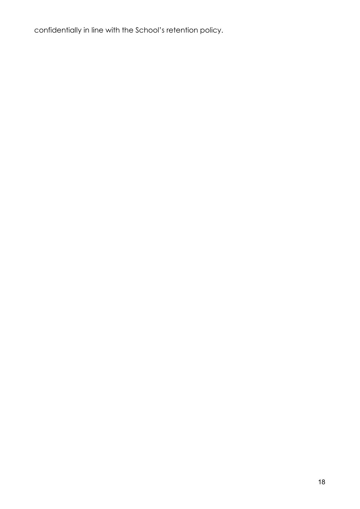confidentially in line with the School's retention policy.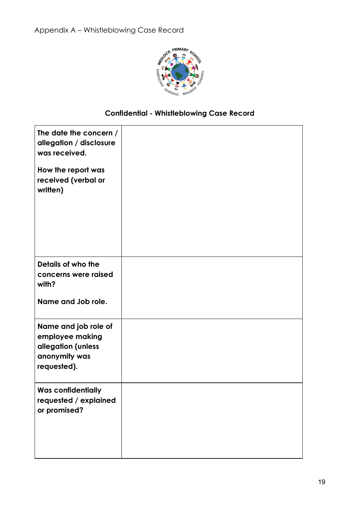

### **Confidential - Whistleblowing Case Record**

| The date the concern /<br>allegation / disclosure<br>was received.                            |  |
|-----------------------------------------------------------------------------------------------|--|
| How the report was<br>received (verbal or<br>written)                                         |  |
| Details of who the<br>concerns were raised<br>with?                                           |  |
| Name and Job role.                                                                            |  |
| Name and job role of<br>employee making<br>allegation (unless<br>anonymity was<br>requested). |  |
| <b>Was confidentially</b><br>requested / explained<br>or promised?                            |  |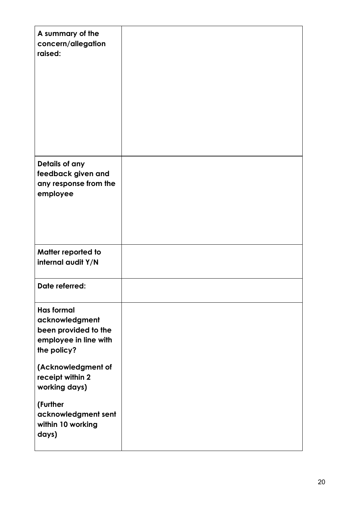| A summary of the<br>concern/allegation<br>raised: |  |
|---------------------------------------------------|--|
| Details of any                                    |  |
|                                                   |  |
| feedback given and                                |  |
| any response from the                             |  |
| employee                                          |  |
|                                                   |  |
|                                                   |  |
|                                                   |  |
|                                                   |  |
| Matter reported to                                |  |
| internal audit Y/N                                |  |
|                                                   |  |
| Date referred:                                    |  |
|                                                   |  |
| <b>Has formal</b>                                 |  |
| acknowledgment                                    |  |
| been provided to the                              |  |
| employee in line with                             |  |
| the policy?                                       |  |
|                                                   |  |
| (Acknowledgment of                                |  |
| receipt within 2                                  |  |
| working days)                                     |  |
|                                                   |  |
| (Further                                          |  |
| acknowledgment sent                               |  |
| within 10 working                                 |  |
| days)                                             |  |
|                                                   |  |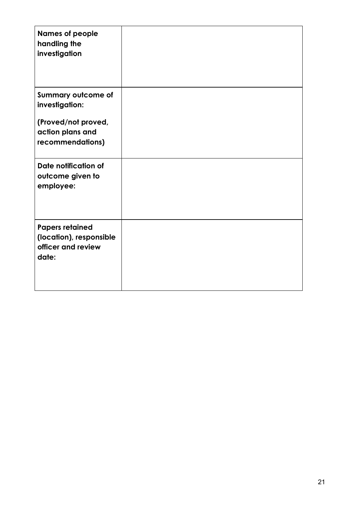| <b>Names of people</b><br>handling the<br>investigation                          |  |
|----------------------------------------------------------------------------------|--|
| Summary outcome of<br>investigation:                                             |  |
| (Proved/not proved,<br>action plans and<br>recommendations)                      |  |
| Date notification of<br>outcome given to<br>employee:                            |  |
| <b>Papers retained</b><br>(location), responsible<br>officer and review<br>date: |  |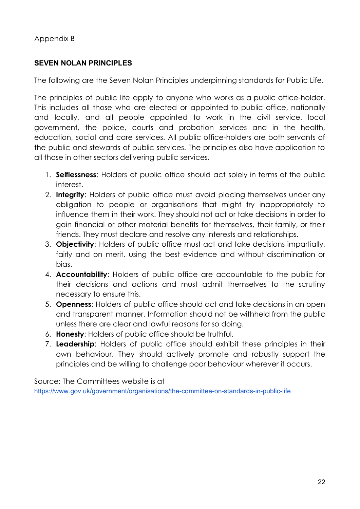#### **SEVEN NOLAN PRINCIPLES**

The following are the Seven Nolan Principles underpinning standards for Public Life.

The principles of public life apply to anyone who works as a public office-holder. This includes all those who are elected or appointed to public office, nationally and locally, and all people appointed to work in the civil service, local government, the police, courts and probation services and in the health, education, social and care services. All public office-holders are both servants of the public and stewards of public services. The principles also have application to all those in other sectors delivering public services.

- 1. **Selflessness**: Holders of public office should act solely in terms of the public interest.
- 2. **Integrity**: Holders of public office must avoid placing themselves under any obligation to people or organisations that might try inappropriately to influence them in their work. They should not act or take decisions in order to gain financial or other material benefits for themselves, their family, or their friends. They must declare and resolve any interests and relationships.
- 3. **Objectivity**: Holders of public office must act and take decisions impartially, fairly and on merit, using the best evidence and without discrimination or bias.
- 4. **Accountability**: Holders of public office are accountable to the public for their decisions and actions and must admit themselves to the scrutiny necessary to ensure this.
- 5. **Openness**: Holders of public office should act and take decisions in an open and transparent manner. Information should not be withheld from the public unless there are clear and lawful reasons for so doing.
- 6. **Honesty**: Holders of public office should be truthful.
- 7. **Leadership**: Holders of public office should exhibit these principles in their own behaviour. They should actively promote and robustly support the principles and be willing to challenge poor behaviour wherever it occurs.

Source: The Committees website is a[t](https://www.gov.uk/government/organisations/the-committee-on-standards-in-public-life) <https://www.gov.uk/government/organisations/the-committee-on-standards-in-public-life>